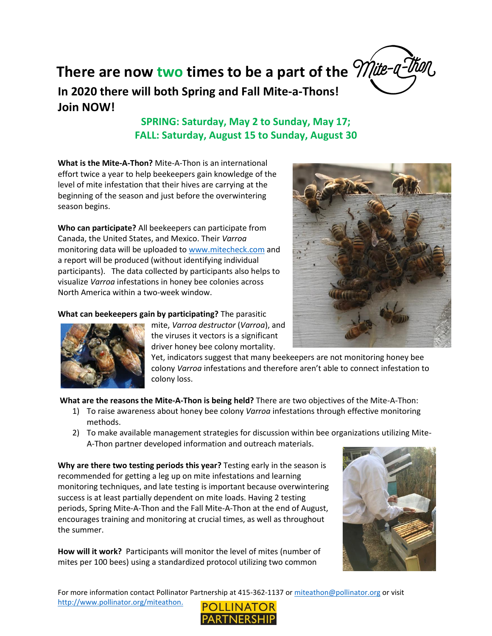

**In 2020 there will both Spring and Fall Mite-a-Thons! Join NOW! There are now two times to be a part of the** *Mite-a-tion* 

## **SPRING: Saturday, May 2 to Sunday, May 17; FALL: Saturday, August 15 to Sunday, August 30**

**What is the Mite-A-Thon?** Mite-A-Thon is an international effort twice a year to help beekeepers gain knowledge of the level of mite infestation that their hives are carrying at the beginning of the season and just before the overwintering season begins.

**Who can participate?** All beekeepers can participate from Canada, the United States, and Mexico. Their *Varroa* monitoring data will be uploaded to [www.mitecheck.com](http://www.mitecheck.com/) and a report will be produced (without identifying individual participants). The data collected by participants also helps to visualize *Varroa* infestations in honey bee colonies across North America within a two-week window.

**What can beekeepers gain by participating?** The parasitic



mite, *Varroa destructor* (*Varroa*), and the viruses it vectors is a significant driver honey bee colony mortality.

Yet, indicators suggest that many beekeepers are not monitoring honey bee colony *Varroa* infestations and therefore aren't able to connect infestation to colony loss.

**What are the reasons the Mite-A-Thon is being held?** There are two objectives of the Mite-A-Thon:

- 1) To raise awareness about honey bee colony *Varroa* infestations through effective monitoring methods.
- 2) To make available management strategies for discussion within bee organizations utilizing Mite-A-Thon partner developed information and outreach materials.

**Why are there two testing periods this year?** Testing early in the season is recommended for getting a leg up on mite infestations and learning monitoring techniques, and late testing is important because overwintering success is at least partially dependent on mite loads. Having 2 testing periods, Spring Mite-A-Thon and the Fall Mite-A-Thon at the end of August, encourages training and monitoring at crucial times, as well as throughout the summer.

**How will it work?** Participants will monitor the level of mites (number of mites per 100 bees) using a standardized protocol utilizing two common



For more information contact Pollinator Partnership at 415-362-1137 o[r miteathon@pollinator.org](mailto:miteathon@pollinator.org) or visit [http://www.pollinator.org/miteathon.](http://www.pollinator.org/miteathon)